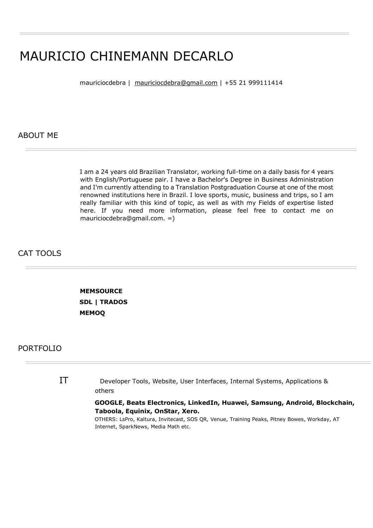## MAURICIO CHINEMANN DECARLO

mauriciocdebra | mauriciocdebra@gmail.com | +55 21 999111414

ABOUT ME

I am a 24 years old Brazilian Translator, working full-time on a daily basis for 4 years with English/Portuguese pair. I have a Bachelor's Degree in Business Administration and I'm currently attending to a Translation Postgraduation Course at one of the most renowned institutions here in Brazil. I love sports, music, business and trips, so I am really familiar with this kind of topic, as well as with my Fields of expertise listed here. If you need more information, please feel free to contact me on mauriciocdebra@gmail.com. =)

## CAT TOOLS

 **MEMSOURCE SDL | TRADOS MEMOQ**

## PORTFOLIO

IT Developer Tools, Website, User Interfaces, Internal Systems, Applications & others

## **GOOGLE, Beats Electronics, LinkedIn, Huawei, Samsung, Android, Blockchain, Taboola, Equinix, OnStar, Xero.**

OTHERS: LsPro, Kaltura, Invitecast, SOS QR, Venue, Training Peaks, Pitney Bowes, Workday, AT Internet, SparkNews, Media Math etc.